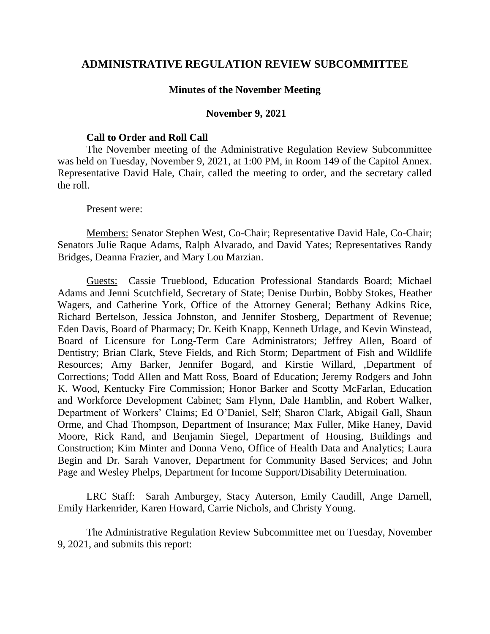## **ADMINISTRATIVE REGULATION REVIEW SUBCOMMITTEE**

## **Minutes of the November Meeting**

## **November 9, 2021**

## **Call to Order and Roll Call**

The November meeting of the Administrative Regulation Review Subcommittee was held on Tuesday, November 9, 2021, at 1:00 PM, in Room 149 of the Capitol Annex. Representative David Hale, Chair, called the meeting to order, and the secretary called the roll.

Present were:

Members: Senator Stephen West, Co-Chair; Representative David Hale, Co-Chair; Senators Julie Raque Adams, Ralph Alvarado, and David Yates; Representatives Randy Bridges, Deanna Frazier, and Mary Lou Marzian.

Guests: Cassie Trueblood, Education Professional Standards Board; Michael Adams and Jenni Scutchfield, Secretary of State; Denise Durbin, Bobby Stokes, Heather Wagers, and Catherine York, Office of the Attorney General; Bethany Adkins Rice, Richard Bertelson, Jessica Johnston, and Jennifer Stosberg, Department of Revenue; Eden Davis, Board of Pharmacy; Dr. Keith Knapp, Kenneth Urlage, and Kevin Winstead, Board of Licensure for Long-Term Care Administrators; Jeffrey Allen, Board of Dentistry; Brian Clark, Steve Fields, and Rich Storm; Department of Fish and Wildlife Resources; Amy Barker, Jennifer Bogard, and Kirstie Willard, ,Department of Corrections; Todd Allen and Matt Ross, Board of Education; Jeremy Rodgers and John K. Wood, Kentucky Fire Commission; Honor Barker and Scotty McFarlan, Education and Workforce Development Cabinet; Sam Flynn, Dale Hamblin, and Robert Walker, Department of Workers' Claims; Ed O'Daniel, Self; Sharon Clark, Abigail Gall, Shaun Orme, and Chad Thompson, Department of Insurance; Max Fuller, Mike Haney, David Moore, Rick Rand, and Benjamin Siegel, Department of Housing, Buildings and Construction; Kim Minter and Donna Veno, Office of Health Data and Analytics; Laura Begin and Dr. Sarah Vanover, Department for Community Based Services; and John Page and Wesley Phelps, Department for Income Support/Disability Determination.

LRC Staff: Sarah Amburgey, Stacy Auterson, Emily Caudill, Ange Darnell, Emily Harkenrider, Karen Howard, Carrie Nichols, and Christy Young.

The Administrative Regulation Review Subcommittee met on Tuesday, November 9, 2021, and submits this report: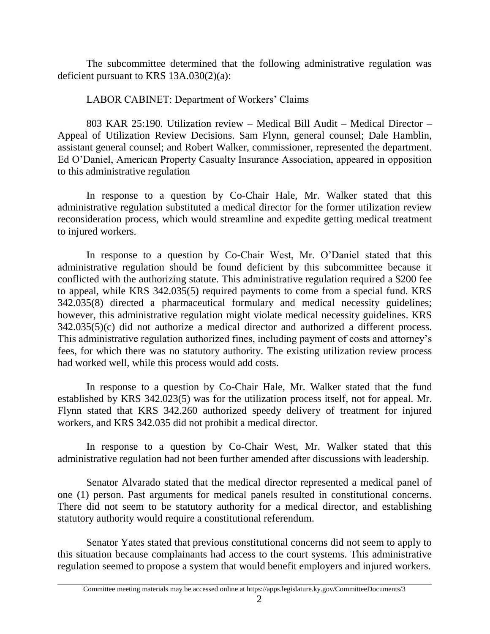The subcommittee determined that the following administrative regulation was deficient pursuant to KRS 13A.030(2)(a):

LABOR CABINET: Department of Workers' Claims

803 KAR 25:190. Utilization review – Medical Bill Audit – Medical Director – Appeal of Utilization Review Decisions. Sam Flynn, general counsel; Dale Hamblin, assistant general counsel; and Robert Walker, commissioner, represented the department. Ed O'Daniel, American Property Casualty Insurance Association, appeared in opposition to this administrative regulation

In response to a question by Co-Chair Hale, Mr. Walker stated that this administrative regulation substituted a medical director for the former utilization review reconsideration process, which would streamline and expedite getting medical treatment to injured workers.

In response to a question by Co-Chair West, Mr. O'Daniel stated that this administrative regulation should be found deficient by this subcommittee because it conflicted with the authorizing statute. This administrative regulation required a \$200 fee to appeal, while KRS 342.035(5) required payments to come from a special fund. KRS 342.035(8) directed a pharmaceutical formulary and medical necessity guidelines; however, this administrative regulation might violate medical necessity guidelines. KRS 342.035(5)(c) did not authorize a medical director and authorized a different process. This administrative regulation authorized fines, including payment of costs and attorney's fees, for which there was no statutory authority. The existing utilization review process had worked well, while this process would add costs.

In response to a question by Co-Chair Hale, Mr. Walker stated that the fund established by KRS 342.023(5) was for the utilization process itself, not for appeal. Mr. Flynn stated that KRS 342.260 authorized speedy delivery of treatment for injured workers, and KRS 342.035 did not prohibit a medical director.

In response to a question by Co-Chair West, Mr. Walker stated that this administrative regulation had not been further amended after discussions with leadership.

Senator Alvarado stated that the medical director represented a medical panel of one (1) person. Past arguments for medical panels resulted in constitutional concerns. There did not seem to be statutory authority for a medical director, and establishing statutory authority would require a constitutional referendum.

Senator Yates stated that previous constitutional concerns did not seem to apply to this situation because complainants had access to the court systems. This administrative regulation seemed to propose a system that would benefit employers and injured workers.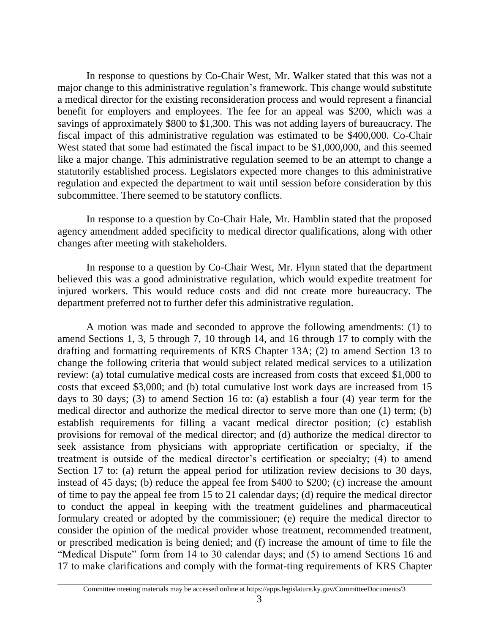In response to questions by Co-Chair West, Mr. Walker stated that this was not a major change to this administrative regulation's framework. This change would substitute a medical director for the existing reconsideration process and would represent a financial benefit for employers and employees. The fee for an appeal was \$200, which was a savings of approximately \$800 to \$1,300. This was not adding layers of bureaucracy. The fiscal impact of this administrative regulation was estimated to be \$400,000. Co-Chair West stated that some had estimated the fiscal impact to be \$1,000,000, and this seemed like a major change. This administrative regulation seemed to be an attempt to change a statutorily established process. Legislators expected more changes to this administrative regulation and expected the department to wait until session before consideration by this subcommittee. There seemed to be statutory conflicts.

In response to a question by Co-Chair Hale, Mr. Hamblin stated that the proposed agency amendment added specificity to medical director qualifications, along with other changes after meeting with stakeholders.

In response to a question by Co-Chair West, Mr. Flynn stated that the department believed this was a good administrative regulation, which would expedite treatment for injured workers. This would reduce costs and did not create more bureaucracy. The department preferred not to further defer this administrative regulation.

A motion was made and seconded to approve the following amendments: (1) to amend Sections 1, 3, 5 through 7, 10 through 14, and 16 through 17 to comply with the drafting and formatting requirements of KRS Chapter 13A; (2) to amend Section 13 to change the following criteria that would subject related medical services to a utilization review: (a) total cumulative medical costs are increased from costs that exceed \$1,000 to costs that exceed \$3,000; and (b) total cumulative lost work days are increased from 15 days to 30 days; (3) to amend Section 16 to: (a) establish a four (4) year term for the medical director and authorize the medical director to serve more than one (1) term; (b) establish requirements for filling a vacant medical director position; (c) establish provisions for removal of the medical director; and (d) authorize the medical director to seek assistance from physicians with appropriate certification or specialty, if the treatment is outside of the medical director's certification or specialty; (4) to amend Section 17 to: (a) return the appeal period for utilization review decisions to 30 days, instead of 45 days; (b) reduce the appeal fee from \$400 to \$200; (c) increase the amount of time to pay the appeal fee from 15 to 21 calendar days; (d) require the medical director to conduct the appeal in keeping with the treatment guidelines and pharmaceutical formulary created or adopted by the commissioner; (e) require the medical director to consider the opinion of the medical provider whose treatment, recommended treatment, or prescribed medication is being denied; and (f) increase the amount of time to file the "Medical Dispute" form from 14 to 30 calendar days; and (5) to amend Sections 16 and 17 to make clarifications and comply with the format-ting requirements of KRS Chapter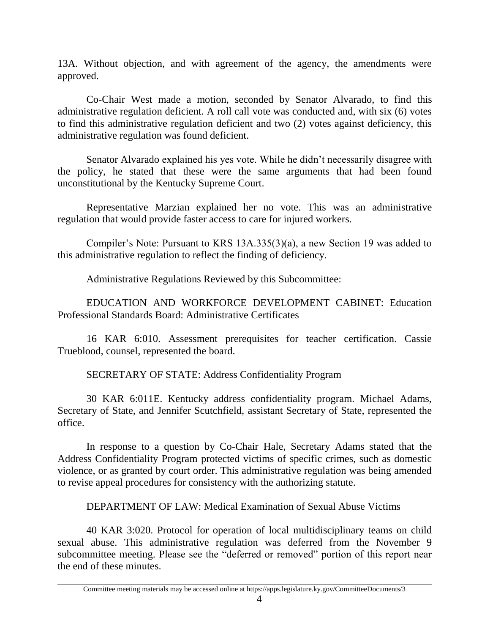13A. Without objection, and with agreement of the agency, the amendments were approved.

Co-Chair West made a motion, seconded by Senator Alvarado, to find this administrative regulation deficient. A roll call vote was conducted and, with six (6) votes to find this administrative regulation deficient and two (2) votes against deficiency, this administrative regulation was found deficient.

Senator Alvarado explained his yes vote. While he didn't necessarily disagree with the policy, he stated that these were the same arguments that had been found unconstitutional by the Kentucky Supreme Court.

Representative Marzian explained her no vote. This was an administrative regulation that would provide faster access to care for injured workers.

Compiler's Note: Pursuant to KRS 13A.335(3)(a), a new Section 19 was added to this administrative regulation to reflect the finding of deficiency.

Administrative Regulations Reviewed by this Subcommittee:

EDUCATION AND WORKFORCE DEVELOPMENT CABINET: Education Professional Standards Board: Administrative Certificates

16 KAR 6:010. Assessment prerequisites for teacher certification. Cassie Trueblood, counsel, represented the board.

SECRETARY OF STATE: Address Confidentiality Program

30 KAR 6:011E. Kentucky address confidentiality program. Michael Adams, Secretary of State, and Jennifer Scutchfield, assistant Secretary of State, represented the office.

In response to a question by Co-Chair Hale, Secretary Adams stated that the Address Confidentiality Program protected victims of specific crimes, such as domestic violence, or as granted by court order. This administrative regulation was being amended to revise appeal procedures for consistency with the authorizing statute.

DEPARTMENT OF LAW: Medical Examination of Sexual Abuse Victims

40 KAR 3:020. Protocol for operation of local multidisciplinary teams on child sexual abuse. This administrative regulation was deferred from the November 9 subcommittee meeting. Please see the "deferred or removed" portion of this report near the end of these minutes.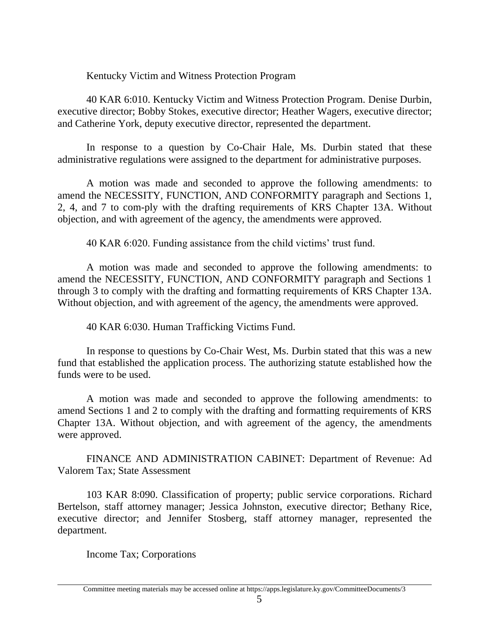Kentucky Victim and Witness Protection Program

40 KAR 6:010. Kentucky Victim and Witness Protection Program. Denise Durbin, executive director; Bobby Stokes, executive director; Heather Wagers, executive director; and Catherine York, deputy executive director, represented the department.

In response to a question by Co-Chair Hale, Ms. Durbin stated that these administrative regulations were assigned to the department for administrative purposes.

A motion was made and seconded to approve the following amendments: to amend the NECESSITY, FUNCTION, AND CONFORMITY paragraph and Sections 1, 2, 4, and 7 to com-ply with the drafting requirements of KRS Chapter 13A. Without objection, and with agreement of the agency, the amendments were approved.

40 KAR 6:020. Funding assistance from the child victims' trust fund.

A motion was made and seconded to approve the following amendments: to amend the NECESSITY, FUNCTION, AND CONFORMITY paragraph and Sections 1 through 3 to comply with the drafting and formatting requirements of KRS Chapter 13A. Without objection, and with agreement of the agency, the amendments were approved.

40 KAR 6:030. Human Trafficking Victims Fund.

In response to questions by Co-Chair West, Ms. Durbin stated that this was a new fund that established the application process. The authorizing statute established how the funds were to be used.

A motion was made and seconded to approve the following amendments: to amend Sections 1 and 2 to comply with the drafting and formatting requirements of KRS Chapter 13A. Without objection, and with agreement of the agency, the amendments were approved.

FINANCE AND ADMINISTRATION CABINET: Department of Revenue: Ad Valorem Tax; State Assessment

103 KAR 8:090. Classification of property; public service corporations. Richard Bertelson, staff attorney manager; Jessica Johnston, executive director; Bethany Rice, executive director; and Jennifer Stosberg, staff attorney manager, represented the department.

Income Tax; Corporations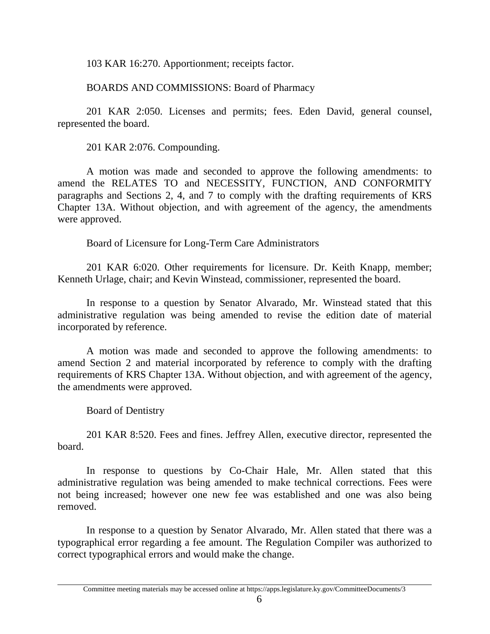103 KAR 16:270. Apportionment; receipts factor.

BOARDS AND COMMISSIONS: Board of Pharmacy

201 KAR 2:050. Licenses and permits; fees. Eden David, general counsel, represented the board.

201 KAR 2:076. Compounding.

A motion was made and seconded to approve the following amendments: to amend the RELATES TO and NECESSITY, FUNCTION, AND CONFORMITY paragraphs and Sections 2, 4, and 7 to comply with the drafting requirements of KRS Chapter 13A. Without objection, and with agreement of the agency, the amendments were approved.

Board of Licensure for Long-Term Care Administrators

201 KAR 6:020. Other requirements for licensure. Dr. Keith Knapp, member; Kenneth Urlage, chair; and Kevin Winstead, commissioner, represented the board.

In response to a question by Senator Alvarado, Mr. Winstead stated that this administrative regulation was being amended to revise the edition date of material incorporated by reference.

A motion was made and seconded to approve the following amendments: to amend Section 2 and material incorporated by reference to comply with the drafting requirements of KRS Chapter 13A. Without objection, and with agreement of the agency, the amendments were approved.

Board of Dentistry

201 KAR 8:520. Fees and fines. Jeffrey Allen, executive director, represented the board.

In response to questions by Co-Chair Hale, Mr. Allen stated that this administrative regulation was being amended to make technical corrections. Fees were not being increased; however one new fee was established and one was also being removed.

In response to a question by Senator Alvarado, Mr. Allen stated that there was a typographical error regarding a fee amount. The Regulation Compiler was authorized to correct typographical errors and would make the change.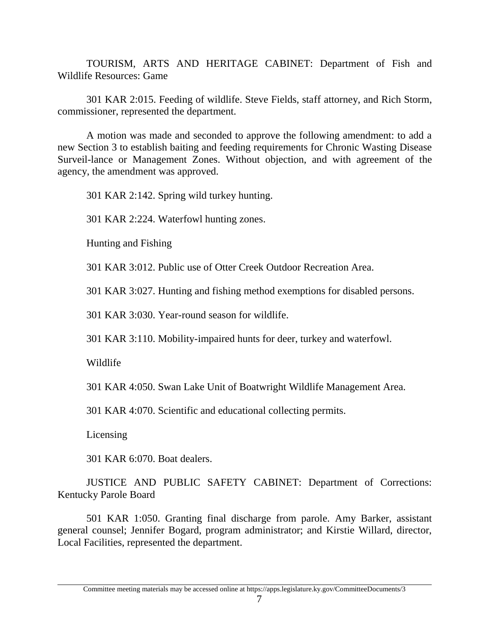TOURISM, ARTS AND HERITAGE CABINET: Department of Fish and Wildlife Resources: Game

301 KAR 2:015. Feeding of wildlife. Steve Fields, staff attorney, and Rich Storm, commissioner, represented the department.

A motion was made and seconded to approve the following amendment: to add a new Section 3 to establish baiting and feeding requirements for Chronic Wasting Disease Surveil-lance or Management Zones. Without objection, and with agreement of the agency, the amendment was approved.

301 KAR 2:142. Spring wild turkey hunting.

301 KAR 2:224. Waterfowl hunting zones.

Hunting and Fishing

301 KAR 3:012. Public use of Otter Creek Outdoor Recreation Area.

301 KAR 3:027. Hunting and fishing method exemptions for disabled persons.

301 KAR 3:030. Year-round season for wildlife.

301 KAR 3:110. Mobility-impaired hunts for deer, turkey and waterfowl.

Wildlife

301 KAR 4:050. Swan Lake Unit of Boatwright Wildlife Management Area.

301 KAR 4:070. Scientific and educational collecting permits.

Licensing

301 KAR 6:070. Boat dealers.

JUSTICE AND PUBLIC SAFETY CABINET: Department of Corrections: Kentucky Parole Board

501 KAR 1:050. Granting final discharge from parole. Amy Barker, assistant general counsel; Jennifer Bogard, program administrator; and Kirstie Willard, director, Local Facilities, represented the department.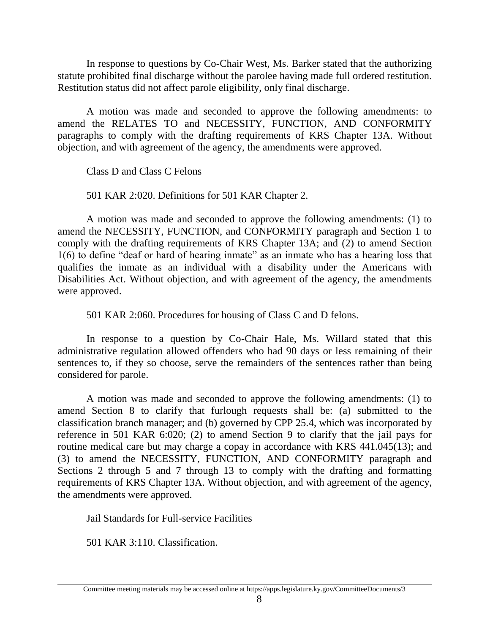In response to questions by Co-Chair West, Ms. Barker stated that the authorizing statute prohibited final discharge without the parolee having made full ordered restitution. Restitution status did not affect parole eligibility, only final discharge.

A motion was made and seconded to approve the following amendments: to amend the RELATES TO and NECESSITY, FUNCTION, AND CONFORMITY paragraphs to comply with the drafting requirements of KRS Chapter 13A. Without objection, and with agreement of the agency, the amendments were approved.

Class D and Class C Felons

501 KAR 2:020. Definitions for 501 KAR Chapter 2.

A motion was made and seconded to approve the following amendments: (1) to amend the NECESSITY, FUNCTION, and CONFORMITY paragraph and Section 1 to comply with the drafting requirements of KRS Chapter 13A; and (2) to amend Section 1(6) to define "deaf or hard of hearing inmate" as an inmate who has a hearing loss that qualifies the inmate as an individual with a disability under the Americans with Disabilities Act. Without objection, and with agreement of the agency, the amendments were approved.

501 KAR 2:060. Procedures for housing of Class C and D felons.

In response to a question by Co-Chair Hale, Ms. Willard stated that this administrative regulation allowed offenders who had 90 days or less remaining of their sentences to, if they so choose, serve the remainders of the sentences rather than being considered for parole.

A motion was made and seconded to approve the following amendments: (1) to amend Section 8 to clarify that furlough requests shall be: (a) submitted to the classification branch manager; and (b) governed by CPP 25.4, which was incorporated by reference in 501 KAR 6:020; (2) to amend Section 9 to clarify that the jail pays for routine medical care but may charge a copay in accordance with KRS 441.045(13); and (3) to amend the NECESSITY, FUNCTION, AND CONFORMITY paragraph and Sections 2 through 5 and 7 through 13 to comply with the drafting and formatting requirements of KRS Chapter 13A. Without objection, and with agreement of the agency, the amendments were approved.

Jail Standards for Full-service Facilities

501 KAR 3:110. Classification.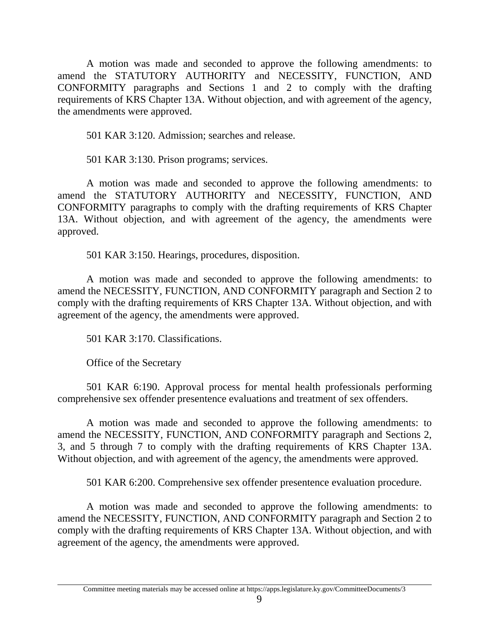A motion was made and seconded to approve the following amendments: to amend the STATUTORY AUTHORITY and NECESSITY, FUNCTION, AND CONFORMITY paragraphs and Sections 1 and 2 to comply with the drafting requirements of KRS Chapter 13A. Without objection, and with agreement of the agency, the amendments were approved.

501 KAR 3:120. Admission; searches and release.

501 KAR 3:130. Prison programs; services.

A motion was made and seconded to approve the following amendments: to amend the STATUTORY AUTHORITY and NECESSITY, FUNCTION, AND CONFORMITY paragraphs to comply with the drafting requirements of KRS Chapter 13A. Without objection, and with agreement of the agency, the amendments were approved.

501 KAR 3:150. Hearings, procedures, disposition.

A motion was made and seconded to approve the following amendments: to amend the NECESSITY, FUNCTION, AND CONFORMITY paragraph and Section 2 to comply with the drafting requirements of KRS Chapter 13A. Without objection, and with agreement of the agency, the amendments were approved.

501 KAR 3:170. Classifications.

Office of the Secretary

501 KAR 6:190. Approval process for mental health professionals performing comprehensive sex offender presentence evaluations and treatment of sex offenders.

A motion was made and seconded to approve the following amendments: to amend the NECESSITY, FUNCTION, AND CONFORMITY paragraph and Sections 2, 3, and 5 through 7 to comply with the drafting requirements of KRS Chapter 13A. Without objection, and with agreement of the agency, the amendments were approved.

501 KAR 6:200. Comprehensive sex offender presentence evaluation procedure.

A motion was made and seconded to approve the following amendments: to amend the NECESSITY, FUNCTION, AND CONFORMITY paragraph and Section 2 to comply with the drafting requirements of KRS Chapter 13A. Without objection, and with agreement of the agency, the amendments were approved.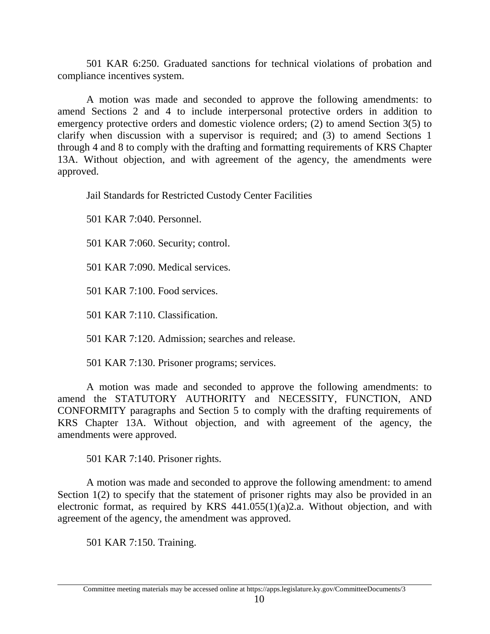501 KAR 6:250. Graduated sanctions for technical violations of probation and compliance incentives system.

A motion was made and seconded to approve the following amendments: to amend Sections 2 and 4 to include interpersonal protective orders in addition to emergency protective orders and domestic violence orders; (2) to amend Section 3(5) to clarify when discussion with a supervisor is required; and (3) to amend Sections 1 through 4 and 8 to comply with the drafting and formatting requirements of KRS Chapter 13A. Without objection, and with agreement of the agency, the amendments were approved.

Jail Standards for Restricted Custody Center Facilities

501 KAR 7:040. Personnel.

501 KAR 7:060. Security; control.

501 KAR 7:090. Medical services.

501 KAR 7:100. Food services.

501 KAR 7:110. Classification.

501 KAR 7:120. Admission; searches and release.

501 KAR 7:130. Prisoner programs; services.

A motion was made and seconded to approve the following amendments: to amend the STATUTORY AUTHORITY and NECESSITY, FUNCTION, AND CONFORMITY paragraphs and Section 5 to comply with the drafting requirements of KRS Chapter 13A. Without objection, and with agreement of the agency, the amendments were approved.

501 KAR 7:140. Prisoner rights.

A motion was made and seconded to approve the following amendment: to amend Section 1(2) to specify that the statement of prisoner rights may also be provided in an electronic format, as required by KRS 441.055(1)(a)2.a. Without objection, and with agreement of the agency, the amendment was approved.

501 KAR 7:150. Training.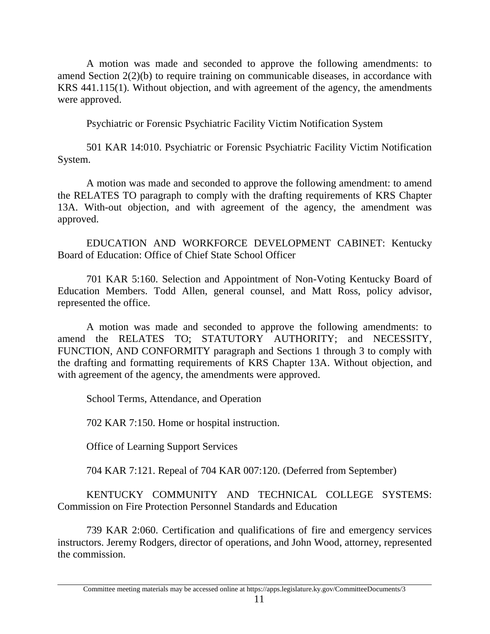A motion was made and seconded to approve the following amendments: to amend Section 2(2)(b) to require training on communicable diseases, in accordance with KRS 441.115(1). Without objection, and with agreement of the agency, the amendments were approved.

Psychiatric or Forensic Psychiatric Facility Victim Notification System

501 KAR 14:010. Psychiatric or Forensic Psychiatric Facility Victim Notification System.

A motion was made and seconded to approve the following amendment: to amend the RELATES TO paragraph to comply with the drafting requirements of KRS Chapter 13A. With-out objection, and with agreement of the agency, the amendment was approved.

EDUCATION AND WORKFORCE DEVELOPMENT CABINET: Kentucky Board of Education: Office of Chief State School Officer

701 KAR 5:160. Selection and Appointment of Non-Voting Kentucky Board of Education Members. Todd Allen, general counsel, and Matt Ross, policy advisor, represented the office.

A motion was made and seconded to approve the following amendments: to amend the RELATES TO; STATUTORY AUTHORITY; and NECESSITY, FUNCTION, AND CONFORMITY paragraph and Sections 1 through 3 to comply with the drafting and formatting requirements of KRS Chapter 13A. Without objection, and with agreement of the agency, the amendments were approved.

School Terms, Attendance, and Operation

702 KAR 7:150. Home or hospital instruction.

Office of Learning Support Services

704 KAR 7:121. Repeal of 704 KAR 007:120. (Deferred from September)

KENTUCKY COMMUNITY AND TECHNICAL COLLEGE SYSTEMS: Commission on Fire Protection Personnel Standards and Education

739 KAR 2:060. Certification and qualifications of fire and emergency services instructors. Jeremy Rodgers, director of operations, and John Wood, attorney, represented the commission.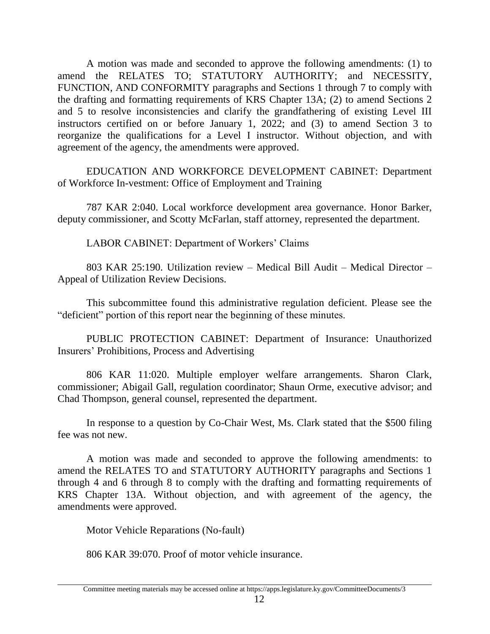A motion was made and seconded to approve the following amendments: (1) to amend the RELATES TO; STATUTORY AUTHORITY; and NECESSITY, FUNCTION, AND CONFORMITY paragraphs and Sections 1 through 7 to comply with the drafting and formatting requirements of KRS Chapter 13A; (2) to amend Sections 2 and 5 to resolve inconsistencies and clarify the grandfathering of existing Level III instructors certified on or before January 1, 2022; and (3) to amend Section 3 to reorganize the qualifications for a Level I instructor. Without objection, and with agreement of the agency, the amendments were approved.

EDUCATION AND WORKFORCE DEVELOPMENT CABINET: Department of Workforce In-vestment: Office of Employment and Training

787 KAR 2:040. Local workforce development area governance. Honor Barker, deputy commissioner, and Scotty McFarlan, staff attorney, represented the department.

LABOR CABINET: Department of Workers' Claims

803 KAR 25:190. Utilization review – Medical Bill Audit – Medical Director – Appeal of Utilization Review Decisions.

This subcommittee found this administrative regulation deficient. Please see the "deficient" portion of this report near the beginning of these minutes.

PUBLIC PROTECTION CABINET: Department of Insurance: Unauthorized Insurers' Prohibitions, Process and Advertising

806 KAR 11:020. Multiple employer welfare arrangements. Sharon Clark, commissioner; Abigail Gall, regulation coordinator; Shaun Orme, executive advisor; and Chad Thompson, general counsel, represented the department.

In response to a question by Co-Chair West, Ms. Clark stated that the \$500 filing fee was not new.

A motion was made and seconded to approve the following amendments: to amend the RELATES TO and STATUTORY AUTHORITY paragraphs and Sections 1 through 4 and 6 through 8 to comply with the drafting and formatting requirements of KRS Chapter 13A. Without objection, and with agreement of the agency, the amendments were approved.

Motor Vehicle Reparations (No-fault)

806 KAR 39:070. Proof of motor vehicle insurance.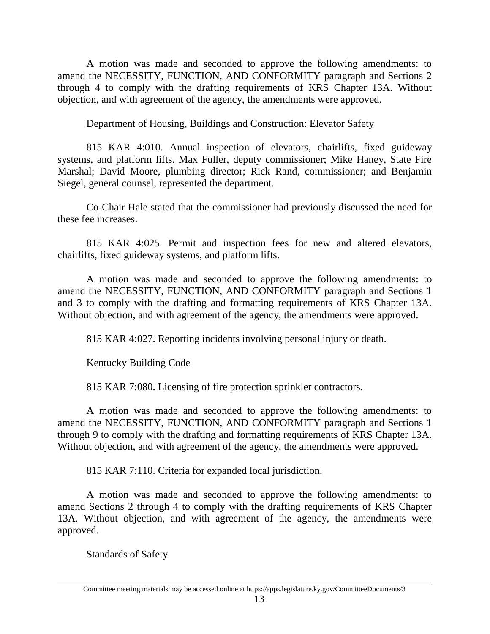A motion was made and seconded to approve the following amendments: to amend the NECESSITY, FUNCTION, AND CONFORMITY paragraph and Sections 2 through 4 to comply with the drafting requirements of KRS Chapter 13A. Without objection, and with agreement of the agency, the amendments were approved.

Department of Housing, Buildings and Construction: Elevator Safety

815 KAR 4:010. Annual inspection of elevators, chairlifts, fixed guideway systems, and platform lifts. Max Fuller, deputy commissioner; Mike Haney, State Fire Marshal; David Moore, plumbing director; Rick Rand, commissioner; and Benjamin Siegel, general counsel, represented the department.

Co-Chair Hale stated that the commissioner had previously discussed the need for these fee increases.

815 KAR 4:025. Permit and inspection fees for new and altered elevators, chairlifts, fixed guideway systems, and platform lifts.

A motion was made and seconded to approve the following amendments: to amend the NECESSITY, FUNCTION, AND CONFORMITY paragraph and Sections 1 and 3 to comply with the drafting and formatting requirements of KRS Chapter 13A. Without objection, and with agreement of the agency, the amendments were approved.

815 KAR 4:027. Reporting incidents involving personal injury or death.

Kentucky Building Code

815 KAR 7:080. Licensing of fire protection sprinkler contractors.

A motion was made and seconded to approve the following amendments: to amend the NECESSITY, FUNCTION, AND CONFORMITY paragraph and Sections 1 through 9 to comply with the drafting and formatting requirements of KRS Chapter 13A. Without objection, and with agreement of the agency, the amendments were approved.

815 KAR 7:110. Criteria for expanded local jurisdiction.

A motion was made and seconded to approve the following amendments: to amend Sections 2 through 4 to comply with the drafting requirements of KRS Chapter 13A. Without objection, and with agreement of the agency, the amendments were approved.

Standards of Safety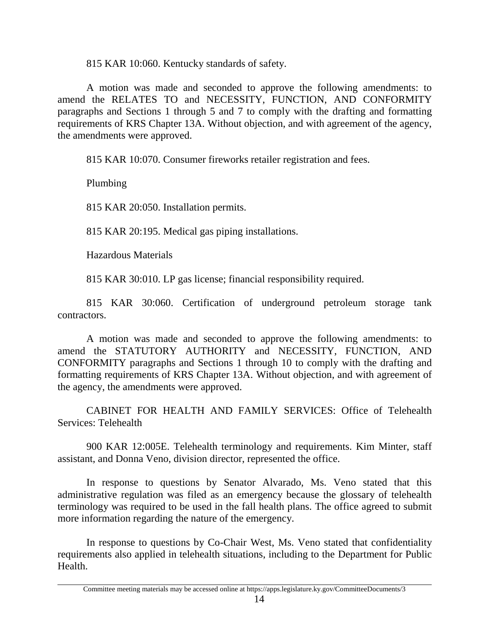815 KAR 10:060. Kentucky standards of safety.

A motion was made and seconded to approve the following amendments: to amend the RELATES TO and NECESSITY, FUNCTION, AND CONFORMITY paragraphs and Sections 1 through 5 and 7 to comply with the drafting and formatting requirements of KRS Chapter 13A. Without objection, and with agreement of the agency, the amendments were approved.

815 KAR 10:070. Consumer fireworks retailer registration and fees.

Plumbing

815 KAR 20:050. Installation permits.

815 KAR 20:195. Medical gas piping installations.

Hazardous Materials

815 KAR 30:010. LP gas license; financial responsibility required.

815 KAR 30:060. Certification of underground petroleum storage tank contractors.

A motion was made and seconded to approve the following amendments: to amend the STATUTORY AUTHORITY and NECESSITY, FUNCTION, AND CONFORMITY paragraphs and Sections 1 through 10 to comply with the drafting and formatting requirements of KRS Chapter 13A. Without objection, and with agreement of the agency, the amendments were approved.

CABINET FOR HEALTH AND FAMILY SERVICES: Office of Telehealth Services: Telehealth

900 KAR 12:005E. Telehealth terminology and requirements. Kim Minter, staff assistant, and Donna Veno, division director, represented the office.

In response to questions by Senator Alvarado, Ms. Veno stated that this administrative regulation was filed as an emergency because the glossary of telehealth terminology was required to be used in the fall health plans. The office agreed to submit more information regarding the nature of the emergency.

In response to questions by Co-Chair West, Ms. Veno stated that confidentiality requirements also applied in telehealth situations, including to the Department for Public Health.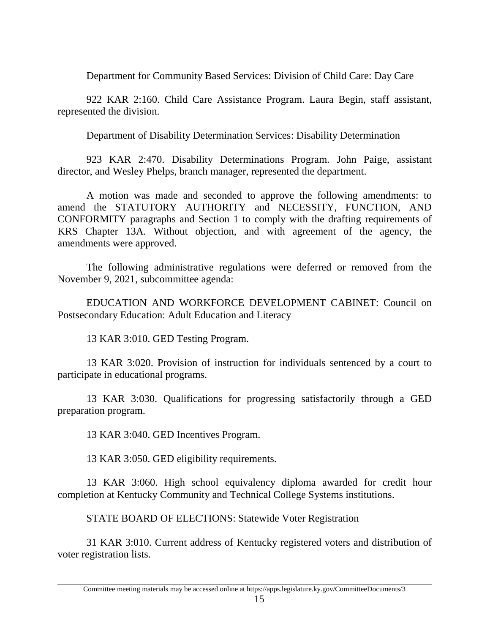Department for Community Based Services: Division of Child Care: Day Care

922 KAR 2:160. Child Care Assistance Program. Laura Begin, staff assistant, represented the division.

Department of Disability Determination Services: Disability Determination

923 KAR 2:470. Disability Determinations Program. John Paige, assistant director, and Wesley Phelps, branch manager, represented the department.

A motion was made and seconded to approve the following amendments: to amend the STATUTORY AUTHORITY and NECESSITY, FUNCTION, AND CONFORMITY paragraphs and Section 1 to comply with the drafting requirements of KRS Chapter 13A. Without objection, and with agreement of the agency, the amendments were approved.

The following administrative regulations were deferred or removed from the November 9, 2021, subcommittee agenda:

EDUCATION AND WORKFORCE DEVELOPMENT CABINET: Council on Postsecondary Education: Adult Education and Literacy

13 KAR 3:010. GED Testing Program.

13 KAR 3:020. Provision of instruction for individuals sentenced by a court to participate in educational programs.

13 KAR 3:030. Qualifications for progressing satisfactorily through a GED preparation program.

13 KAR 3:040. GED Incentives Program.

13 KAR 3:050. GED eligibility requirements.

13 KAR 3:060. High school equivalency diploma awarded for credit hour completion at Kentucky Community and Technical College Systems institutions.

STATE BOARD OF ELECTIONS: Statewide Voter Registration

31 KAR 3:010. Current address of Kentucky registered voters and distribution of voter registration lists.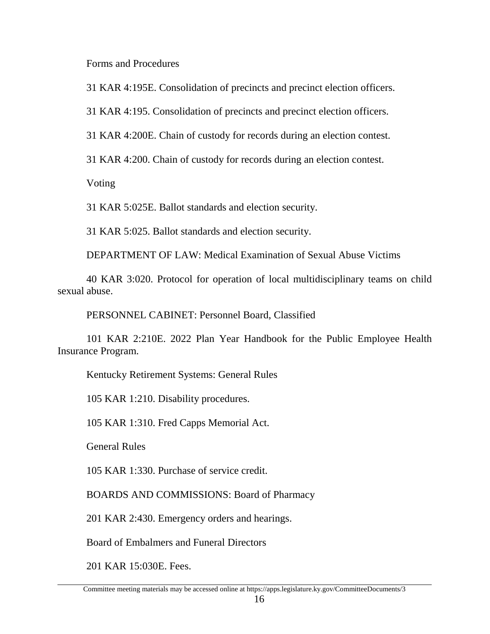Forms and Procedures

31 KAR 4:195E. Consolidation of precincts and precinct election officers.

31 KAR 4:195. Consolidation of precincts and precinct election officers.

31 KAR 4:200E. Chain of custody for records during an election contest.

31 KAR 4:200. Chain of custody for records during an election contest.

Voting

31 KAR 5:025E. Ballot standards and election security.

31 KAR 5:025. Ballot standards and election security.

DEPARTMENT OF LAW: Medical Examination of Sexual Abuse Victims

40 KAR 3:020. Protocol for operation of local multidisciplinary teams on child sexual abuse.

PERSONNEL CABINET: Personnel Board, Classified

101 KAR 2:210E. 2022 Plan Year Handbook for the Public Employee Health Insurance Program.

Kentucky Retirement Systems: General Rules

105 KAR 1:210. Disability procedures.

105 KAR 1:310. Fred Capps Memorial Act.

General Rules

105 KAR 1:330. Purchase of service credit.

BOARDS AND COMMISSIONS: Board of Pharmacy

201 KAR 2:430. Emergency orders and hearings.

Board of Embalmers and Funeral Directors

201 KAR 15:030E. Fees.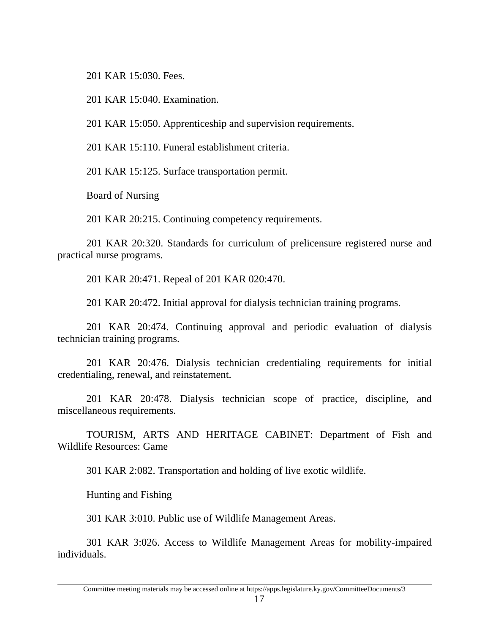201 KAR 15:030. Fees.

201 KAR 15:040. Examination.

201 KAR 15:050. Apprenticeship and supervision requirements.

201 KAR 15:110. Funeral establishment criteria.

201 KAR 15:125. Surface transportation permit.

Board of Nursing

201 KAR 20:215. Continuing competency requirements.

201 KAR 20:320. Standards for curriculum of prelicensure registered nurse and practical nurse programs.

201 KAR 20:471. Repeal of 201 KAR 020:470.

201 KAR 20:472. Initial approval for dialysis technician training programs.

201 KAR 20:474. Continuing approval and periodic evaluation of dialysis technician training programs.

201 KAR 20:476. Dialysis technician credentialing requirements for initial credentialing, renewal, and reinstatement.

201 KAR 20:478. Dialysis technician scope of practice, discipline, and miscellaneous requirements.

TOURISM, ARTS AND HERITAGE CABINET: Department of Fish and Wildlife Resources: Game

301 KAR 2:082. Transportation and holding of live exotic wildlife.

Hunting and Fishing

301 KAR 3:010. Public use of Wildlife Management Areas.

301 KAR 3:026. Access to Wildlife Management Areas for mobility-impaired individuals.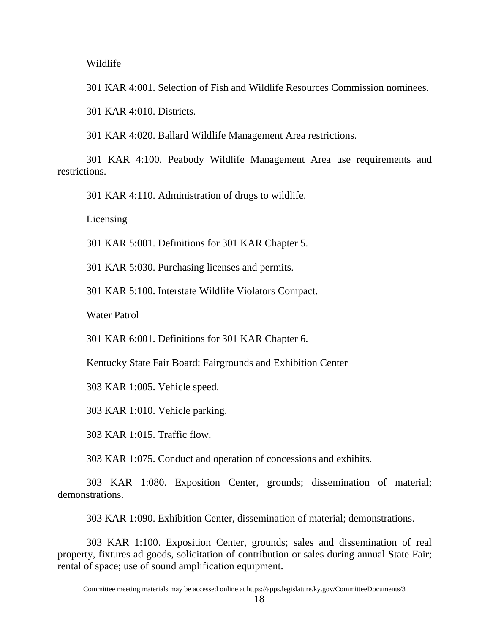Wildlife

301 KAR 4:001. Selection of Fish and Wildlife Resources Commission nominees.

301 KAR 4:010. Districts.

301 KAR 4:020. Ballard Wildlife Management Area restrictions.

301 KAR 4:100. Peabody Wildlife Management Area use requirements and restrictions.

301 KAR 4:110. Administration of drugs to wildlife.

Licensing

301 KAR 5:001. Definitions for 301 KAR Chapter 5.

301 KAR 5:030. Purchasing licenses and permits.

301 KAR 5:100. Interstate Wildlife Violators Compact.

Water Patrol

301 KAR 6:001. Definitions for 301 KAR Chapter 6.

Kentucky State Fair Board: Fairgrounds and Exhibition Center

303 KAR 1:005. Vehicle speed.

303 KAR 1:010. Vehicle parking.

303 KAR 1:015. Traffic flow.

303 KAR 1:075. Conduct and operation of concessions and exhibits.

303 KAR 1:080. Exposition Center, grounds; dissemination of material; demonstrations.

303 KAR 1:090. Exhibition Center, dissemination of material; demonstrations.

303 KAR 1:100. Exposition Center, grounds; sales and dissemination of real property, fixtures ad goods, solicitation of contribution or sales during annual State Fair; rental of space; use of sound amplification equipment.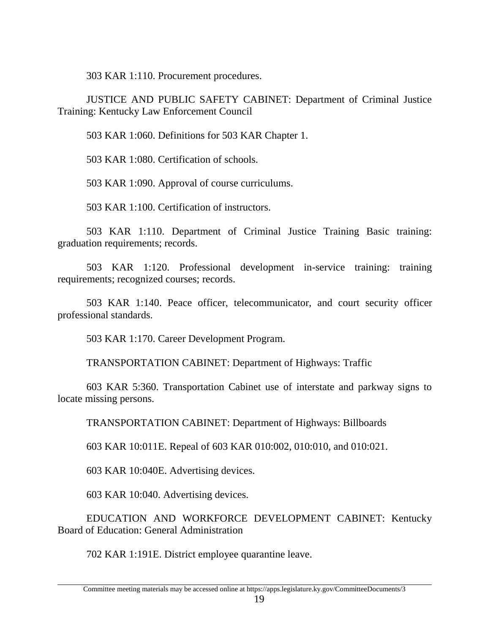303 KAR 1:110. Procurement procedures.

JUSTICE AND PUBLIC SAFETY CABINET: Department of Criminal Justice Training: Kentucky Law Enforcement Council

503 KAR 1:060. Definitions for 503 KAR Chapter 1.

503 KAR 1:080. Certification of schools.

503 KAR 1:090. Approval of course curriculums.

503 KAR 1:100. Certification of instructors.

503 KAR 1:110. Department of Criminal Justice Training Basic training: graduation requirements; records.

503 KAR 1:120. Professional development in-service training: training requirements; recognized courses; records.

503 KAR 1:140. Peace officer, telecommunicator, and court security officer professional standards.

503 KAR 1:170. Career Development Program.

TRANSPORTATION CABINET: Department of Highways: Traffic

603 KAR 5:360. Transportation Cabinet use of interstate and parkway signs to locate missing persons.

TRANSPORTATION CABINET: Department of Highways: Billboards

603 KAR 10:011E. Repeal of 603 KAR 010:002, 010:010, and 010:021.

603 KAR 10:040E. Advertising devices.

603 KAR 10:040. Advertising devices.

EDUCATION AND WORKFORCE DEVELOPMENT CABINET: Kentucky Board of Education: General Administration

702 KAR 1:191E. District employee quarantine leave.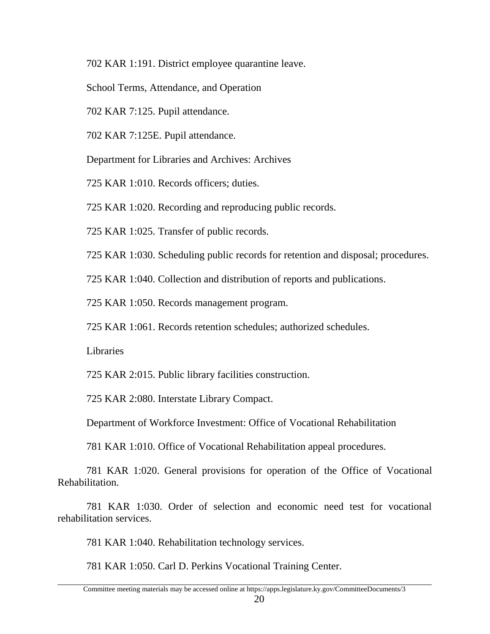702 KAR 1:191. District employee quarantine leave.

School Terms, Attendance, and Operation

702 KAR 7:125. Pupil attendance.

702 KAR 7:125E. Pupil attendance.

Department for Libraries and Archives: Archives

725 KAR 1:010. Records officers; duties.

725 KAR 1:020. Recording and reproducing public records.

725 KAR 1:025. Transfer of public records.

725 KAR 1:030. Scheduling public records for retention and disposal; procedures.

725 KAR 1:040. Collection and distribution of reports and publications.

725 KAR 1:050. Records management program.

725 KAR 1:061. Records retention schedules; authorized schedules.

Libraries

725 KAR 2:015. Public library facilities construction.

725 KAR 2:080. Interstate Library Compact.

Department of Workforce Investment: Office of Vocational Rehabilitation

781 KAR 1:010. Office of Vocational Rehabilitation appeal procedures.

781 KAR 1:020. General provisions for operation of the Office of Vocational Rehabilitation.

781 KAR 1:030. Order of selection and economic need test for vocational rehabilitation services.

781 KAR 1:040. Rehabilitation technology services.

781 KAR 1:050. Carl D. Perkins Vocational Training Center.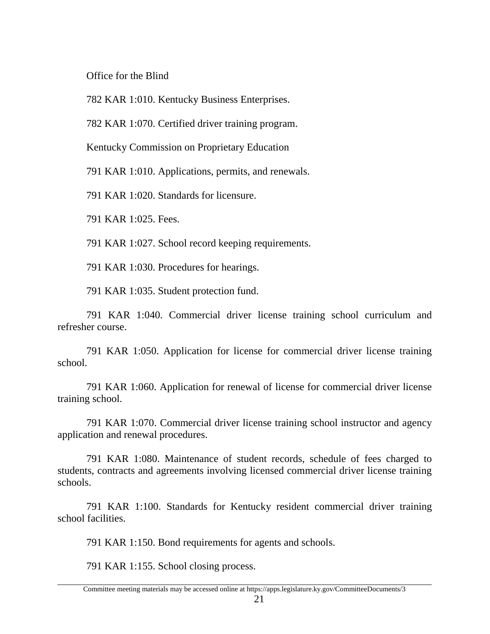Office for the Blind

782 KAR 1:010. Kentucky Business Enterprises.

782 KAR 1:070. Certified driver training program.

Kentucky Commission on Proprietary Education

791 KAR 1:010. Applications, permits, and renewals.

791 KAR 1:020. Standards for licensure.

791 KAR 1:025. Fees.

791 KAR 1:027. School record keeping requirements.

791 KAR 1:030. Procedures for hearings.

791 KAR 1:035. Student protection fund.

791 KAR 1:040. Commercial driver license training school curriculum and refresher course.

791 KAR 1:050. Application for license for commercial driver license training school.

791 KAR 1:060. Application for renewal of license for commercial driver license training school.

791 KAR 1:070. Commercial driver license training school instructor and agency application and renewal procedures.

791 KAR 1:080. Maintenance of student records, schedule of fees charged to students, contracts and agreements involving licensed commercial driver license training schools.

791 KAR 1:100. Standards for Kentucky resident commercial driver training school facilities.

791 KAR 1:150. Bond requirements for agents and schools.

791 KAR 1:155. School closing process.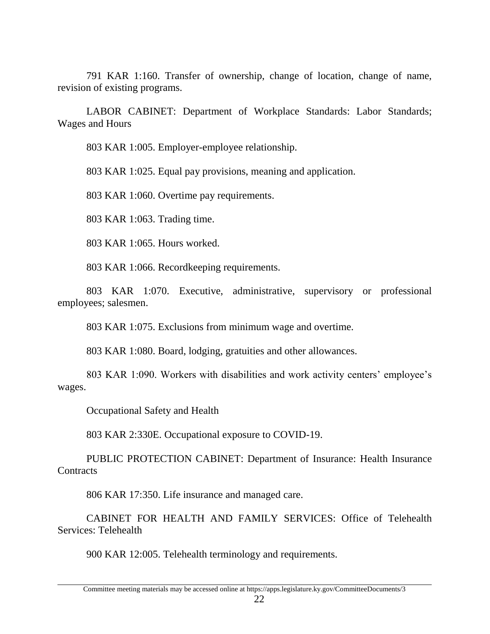791 KAR 1:160. Transfer of ownership, change of location, change of name, revision of existing programs.

LABOR CABINET: Department of Workplace Standards: Labor Standards; Wages and Hours

803 KAR 1:005. Employer-employee relationship.

803 KAR 1:025. Equal pay provisions, meaning and application.

803 KAR 1:060. Overtime pay requirements.

803 KAR 1:063. Trading time.

803 KAR 1:065. Hours worked.

803 KAR 1:066. Recordkeeping requirements.

803 KAR 1:070. Executive, administrative, supervisory or professional employees; salesmen.

803 KAR 1:075. Exclusions from minimum wage and overtime.

803 KAR 1:080. Board, lodging, gratuities and other allowances.

803 KAR 1:090. Workers with disabilities and work activity centers' employee's wages.

Occupational Safety and Health

803 KAR 2:330E. Occupational exposure to COVID-19.

PUBLIC PROTECTION CABINET: Department of Insurance: Health Insurance **Contracts** 

806 KAR 17:350. Life insurance and managed care.

CABINET FOR HEALTH AND FAMILY SERVICES: Office of Telehealth Services: Telehealth

900 KAR 12:005. Telehealth terminology and requirements.